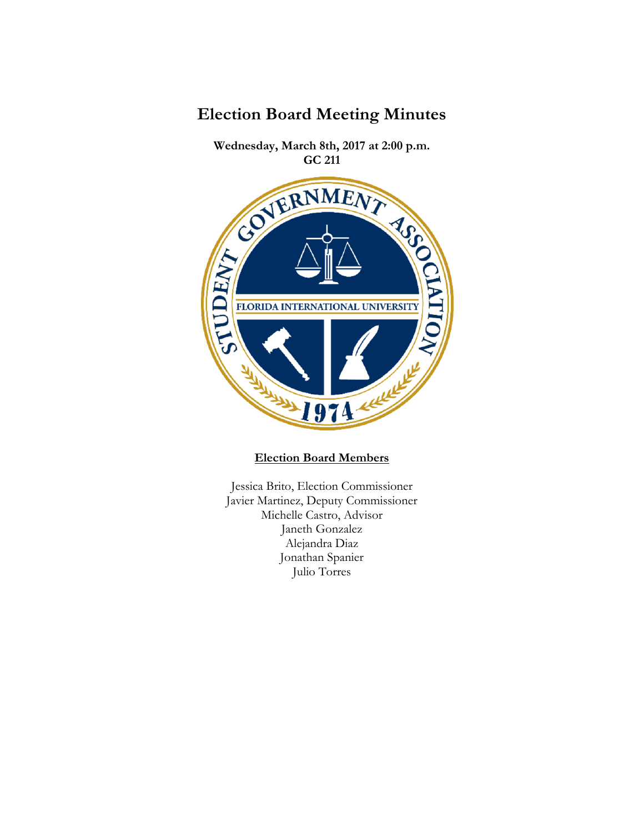

**Wednesday, March 8th, 2017 at 2:00 p.m.** 



# **Election Board Members**

Jessica Brito, Election Commissioner Javier Martinez, Deputy Commissioner Michelle Castro, Advisor Janeth Gonzalez Alejandra Diaz Jonathan Spanier Julio Torres